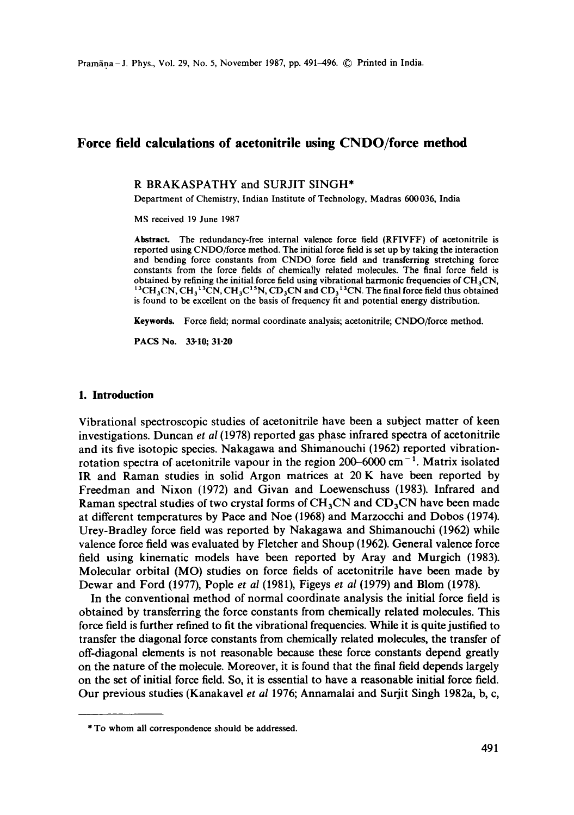# **Force field calculations of acetonitrile using CNDO/force method**

R BRAKASPATHY and SURJIT SINGH\*

Department of Chemistry, Indian Institute of Technology, Madras 600036, India

MS received 19 June 1987

**Abstract.** The redundancy-free internal valence force field (RFIVFF) of acetonitrile is reported using CNDO/force method. The initial force field is set up by taking the interaction and bending force constants from CNDO force field and transferring stretching force constants from the force fields of chemically related molecules. The final force field is obtained by refining the initial force field using vibrational harmonic frequencies of  $CH<sub>3</sub>CN$ ,  $^{13}CH_3CN$ , CH<sub>3</sub><sup>13</sup>CN, CH<sub>3</sub>C<sup>15</sup>N, CD<sub>3</sub>CN and CD<sub>3</sub><sup>13</sup>CN. The final force field thus obtained is found to be excellent on the basis of frequency fit and potential energy distribution.

**Keywords.** Force field; normal coordinate analysis; acetonitrile; CNDO/force method.

**PACS No. 33.10; 31.20** 

## **1. Introduction**

Vibrational spectroscopic studies of acetonitrile have been a subject matter of keen investigations. Duncan *et al* (1978) reported gas phase infrared spectra of acetonitrile and its five isotopic species. Nakagawa and Shimanouchi (1962) reported vibrationrotation spectra of acetonitrile vapour in the region  $200-6000$  cm<sup>-1</sup>. Matrix isolated IR and Raman studies in solid Argon matrices at 20 K have been reported by Freedman and Nixon (1972) and Givan and Loewenschuss (1983). Infrared and Raman spectral studies of two crystal forms of  $CH<sub>3</sub>CN$  and  $CD<sub>3</sub>CN$  have been made at different temperatures by Pace and Noe (1968) and Marzocchi and Dobos (1974). Urey-Bradley force field was reported by Nakagawa and Shimanouchi (1962) while valence force field was evaluated by Fletcher and Shoup (1962). General valence force field using kinematic models have been reported by Aray and Murgich (1983). Molecular orbital (MO) studies on force fields of acetonitrile have been made by Dewar and Ford (1977), Pople *et al* (1981), Figeys *et al* (1979) and Blom (1978).

In the conventional method of normal coordinate analysis the initial force field is obtained by transferring the force constants from chemically related molecules. This force field is further refined to fit the vibrational frequencies. While it is quite justified to transfer the diagonal force constants from chemically related molecules, the transfer of off-diagonal elements is not reasonable because these force constants depend greatly on the nature of the molecule. Moreover, it is found that the final field depends largely on the set of initial force field. So, it is essential to have a reasonable initial force field. Our previous studies (Kanakavel *et al* 1976; Annamalai and Surjit Singh 1982a, b, c,

<sup>\*</sup> To whom all correspondence should be addressed.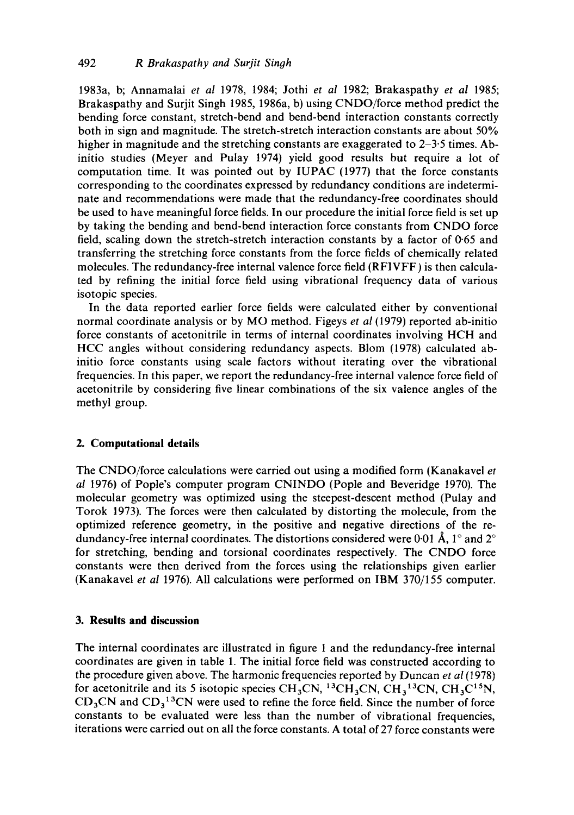1983a, b; Annamalai *et al* 1978, 1984; Jothi *et al* 1982; Brakaspathy *et al* 1985; Brakaspathy and Surjit Singh 1985, 1986a, b) using CNDO/force method predict the bending force constant, stretch-bend and bend-bend interaction constants correctly both in sign and magnitude. The stretch-stretch interaction constants are about 50% higher in magnitude and the stretching constants are exaggerated to 2–3.5 times. Abinitio studies (Meyer and Pulay 1974) yield good results but require a lot of computation time. It was pointed out by IUPAC (1977) that the force constants corresponding to the coordinates expressed by redundancy conditions are indeterminate and recommendations were made that the redundancy-free coordinates should be used to have meaningful force fields. In our procedure the initial force field is set up by taking the bending and bend-bend interaction force constants from CNDO force field, scaling down the stretch-stretch interaction constants by a factor of 0.65 and transferring the stretching force constants from the force fields of chemically related molecules. The redundancy-free internal valence force field (RFIVFF) is then calculated by refining the initial force field using vibrational frequency data of various isotopic species.

In the data reported earlier force fields were calculated either by conventional normal coordinate analysis or by MO method. Figeys *et al* (1979) reported ab-initio force constants of acetonitrile in terms of internal coordinates involving HCH and *HCC* angles without considering redundancy aspects. Blom (1978) calculated abinitio force constants using scale factors without iterating over the vibrational frequencies. In this paper, we report the redundancy-free internal valence force field of acetonitrile by considering five linear combinations of the six valence angles of the methyl group.

## **2. Computational details**

The CNDO/force calculations were carried out using a modified form (Kanakavel *et al* 1976) of Pople's computer program CNINDO (Pople and Beveridge 1970). The molecular geometry was optimized using the steepest-descent method (Pulay and Torok 1973). The forces were then calculated by distorting the molecule, from the optimized reference geometry, in the positive and negative directions of the redundancy-free internal coordinates. The distortions considered were 0-01  $\AA$ , 1° and 2° for stretching, bending and torsional coordinates respectively. The CNDO force constants were then derived from the forces using the relationships given earlier (Kanakavel *et al* 1976). All calculations were performed on IBM 370/155 computer.

# **3. Results and discussion**

The internal coordinates are illustrated in figure 1 and the redundancy-free internal coordinates are given in table 1. The initial force field was constructed according to the procedure given above. The harmonic frequencies reported by Duncan *et al* (1978) for acetonitrile and its 5 isotopic species  $CH_3CN$ ,  $^{13}CH_3CN$ ,  $CH_3^{13}CN$ ,  $CH_3C^{15}N$ ,  $CD<sub>3</sub>CN$  and  $CD<sub>3</sub><sup>13</sup>CN$  were used to refine the force field. Since the number of force constants to be evaluated were less than the number of vibrational frequencies, iterations were carried out on all the force constants. A total of 27 force constants were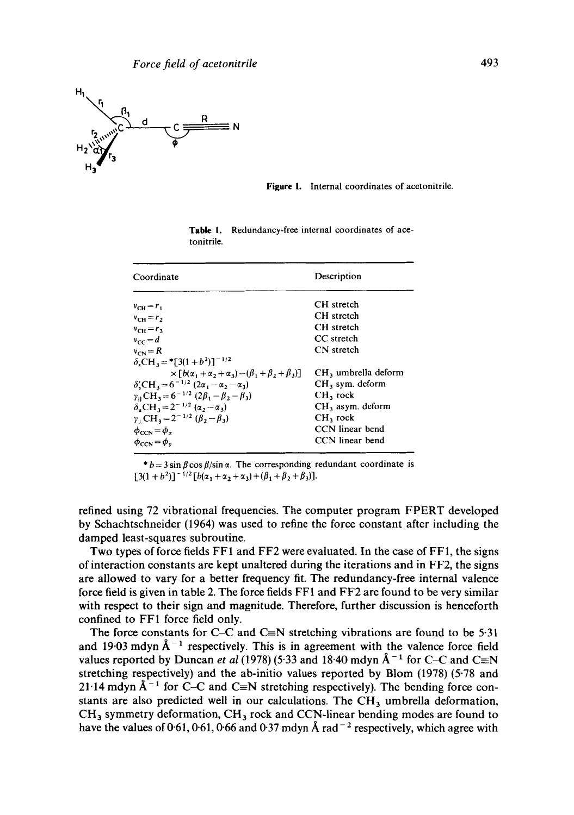

**Figure** 1. Internal coordinates of acetonitrile.

| Coordinate                                                                                  | Description           |  |  |
|---------------------------------------------------------------------------------------------|-----------------------|--|--|
| $v_{\text{CH}} = r_1$                                                                       | CH stretch            |  |  |
| $v_{\text{CH}} = r_2$                                                                       | CH stretch            |  |  |
| $v_{CH} = r_3$                                                                              | CH stretch            |  |  |
| $v_{cc} = d$                                                                                | CC stretch            |  |  |
| $v_{\text{cm}} = R$                                                                         | CN stretch            |  |  |
| $\delta_s$ CH <sub>3</sub> = *[3(1 + b <sup>2</sup> )] <sup>-1/2</sup>                      |                       |  |  |
| $\times [b(\alpha, +\alpha, +\alpha_3) - (\beta, +\beta, +\beta_3)]$                        | $CH3$ umbrella deform |  |  |
| $\delta'_{s}CH_{3} = 6^{-1/2} (2\alpha_{1} - \alpha_{2} - \alpha_{3})$                      | $CH3$ sym. deform     |  |  |
| $\gamma_{\parallel}$ CH <sub>3</sub> = 6 <sup>-1/2</sup> (2 $\beta_1 - \beta_2 - \beta_3$ ) | $CH3$ rock            |  |  |
| $δnCH3=2-1/2 (α2 - α3)$                                                                     | $CH3$ asym. deform    |  |  |
| $\gamma_1$ CH <sub>3</sub> = 2 <sup>-1/2</sup> ( $\beta_2 - \beta_3$ )                      | $CH3$ rock            |  |  |
| $\phi_{CCN} = \phi_{r}$                                                                     | CCN linear bend       |  |  |
| $\phi_{\text{CCN}} = \phi_v$                                                                | CCN linear bend       |  |  |

**Table** 1. Redundancy-free internal coordinates of acetonitrile.

\*  $b = 3 \sin \beta \cos \beta / \sin \alpha$ . The corresponding redundant coordinate is  $[3(1+b^2)]^{-1/2} [b(\alpha_1+\alpha_2+\alpha_3)+(\beta_1+\beta_2+\beta_3)].$ 

refined using 72 vibrational frequencies. The computer program FPERT developed by Schachtschneider (1964) was used to refine the force constant after including the damped least-squares subroutine.

Two types of force fields FF1 and FF2 were evaluated. In the case of FF1, the signs of interaction constants are kept unaltered during the iterations and in FF2, the signs are allowed to vary for a better frequency fit. The redundancy-free internal valence force field is given in table 2. The force fields FF1 and FF2 are found to be very similar with respect to their sign and magnitude. Therefore, further discussion is henceforth confined to FF1 force field only.

The force constants for C-C and C $\equiv$ N stretching vibrations are found to be 5.31 and 1903 mdyn  $\AA^{-1}$  respectively. This is in agreement with the valence force field values reported by Duncan *et al* (1978) (5.33 and 18.40 mdyn  $\AA^{-1}$  for C-C and C=N stretching respectively) and the ab-initio values reported by Blom (1978) (5.78 and 21.14 mdyn  $\AA^{-1}$  for C-C and C=N stretching respectively). The bending force constants are also predicted well in our calculations. The CH<sub>3</sub> umbrella deformation, CH<sub>3</sub> symmetry deformation, CH<sub>3</sub> rock and CCN-linear bending modes are found to have the values of 0.61, 0.61, 0.66 and 0.37 mdyn Å rad<sup>-2</sup> respectively, which agree with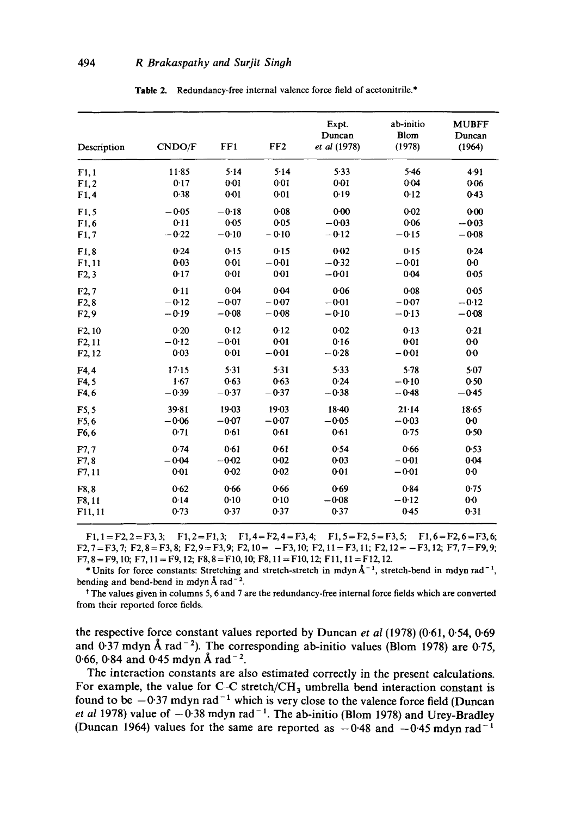| Description         | <b>CNDO/F</b> | FF1       | FF2             | Expt.<br>Duncan<br>et al (1978) | ab-initio<br>Blom<br>(1978) | <b>MUBFF</b><br>Duncan<br>(1964) |
|---------------------|---------------|-----------|-----------------|---------------------------------|-----------------------------|----------------------------------|
| F1,1                | $11-85$       | 5.14      | $5 - 14$        | 5.33                            | $5-46$                      | 4.91                             |
| F1,2                | 0.17          | $0 - 01$  | 0.01            | 0.01                            | 0.04                        | 0.06                             |
| F1,4                | 0.38          | $0 - 01$  | $0-01$          | 0.19                            | 0.12                        | 0.43                             |
| F1.5                | $-0.05$       | $-0.18$   | 0.08            | 0.00                            | $0 - 02$                    | $0 - 00$                         |
| F1.6                | $0-11$        | $0 - 05$  | $0 - 0.5$       | $-0.03$                         | 0.06                        | $-0.03$                          |
| F1,7                | $-0.22$       | $-0.10$   | $-0.10$         | $-0.12$                         | $-0.15$                     | $-0.08$                          |
| F1,8                | 0.24          | 0.15      | 0.15            | $0 - 02$                        | 0.15                        | 0.24                             |
| F1,11               | 0.03          | 0.01      | $-0.01$         | $-0.32$                         | $-0.01$                     | $0-0$                            |
| F2,3                | 0.17          | $0 - 01$  | 0 <sub>01</sub> | $-0.01$                         | $0 - 04$                    | 0.05                             |
| F2,7                | 0.11          | 0.04      | 0.04            | 0.06                            | $0 - 08$                    | 0.05                             |
| F2.8                | $-0.12$       | $-0.07$   | $-0.07$         | $-0.01$                         | $-0.07$                     | $-0.12$                          |
| F2,9                | $-0.19$       | $-0.08$   | $-0.08$         | $-0.10$                         | $-0.13$                     | $-0.08$                          |
| F <sub>2</sub> , 10 | 0.20          | 0.12      | 0.12            | $0 - 02$                        | 0.13                        | 0.21                             |
| F2,11               | $-0.12$       | $-0.01$   | $0-01$          | 0.16                            | $0 - 01$                    | $0-0$                            |
| F <sub>2</sub> , 12 | $0 - 03$      | $0 - 01$  | $-0.01$         | $-0.28$                         | $-0.01$                     | $0-0$                            |
| F4.4                | 17.15         | 5.31      | $5 - 31$        | 5.33                            | 5.78                        | $5-07$                           |
| F4.5                | 1.67          | 0.63      | 0.63            | 0.24                            | $-0.10$                     | 0.50                             |
| F4,6                | $-0.39$       | $-0.37$   | $-0.37$         | $-0.38$                         | $-0.48$                     | $-0.45$                          |
| F5.5                | 39.81         | $19 - 03$ | 19-03           | $18 - 40$                       | $21 - 14$                   | 18.65                            |
| F5.6                | $-0.06$       | $-0.07$   | $-0.07$         | $-0.05$                         | $-0.03$                     | $0 - 0$                          |
| F <sub>6</sub> , 6  | 0.71          | 0.61      | 0.61            | 0.61                            | 0.75                        | 0.50                             |
| F7,7                | 0.74          | $0 - 61$  | 0.61            | 0.54                            | 0.66                        | 0.53                             |
| F7,8                | $-0.04$       | $-0.02$   | $0 - 02$        | 0.03                            | $-0.01$                     | $0 - 04$                         |
| F7,11               | $0-01$        | $0 - 02$  | $0 - 02$        | 0.01                            | $-0.01$                     | $0-0$                            |
| F8.8                | 0.62          | 0.66      | 0.66            | 0.69                            | 0.84                        | 0.75                             |
| F8,11               | 0.14          | 0.10      | 0.10            | $-0.08$                         | $-0.12$                     | $0-0$                            |
| F11, 11             | 0.73          | 0.37      | 0.37            | 0.37                            | 0.45                        | 0.31                             |

Table 2. Redundancy-free internal valence force field of acetonitrile.\*

 $F1, 1 = F2, 2 = F3, 3;$   $F1, 2 = F1, 3;$   $F1, 4 = F2, 4 = F3, 4;$   $F1, 5 = F2, 5 = F3, 5;$   $F1, 6 = F2, 6 = F3, 6;$  $F2, 7 = F3, 7; F2, 8 = F3, 8; F2, 9 = F3, 9; F2, 10 = -F3, 10; F2, 11 = F3, 11; F2, 12 = -F3, 12; F7, 7 = F9, 9;$  $F7, 8 = F9, 10; F7, 11 = F9, 12; F8, 8 = F10, 10; F8, 11 = F10, 12; F11, 11 = F12, 12.$ 

\* Units for force constants: Stretching and stretch-stretch in mdyn  $A^{-1}$ , stretch-bend in mdyn rad<sup>-1</sup>, bending and bend-bend in mdyn  $\AA$  rad<sup>-2</sup>.

**t** The values given in columns **5, 6 and 7** are the redundancy-free internal force fields which are converted from their reported force fields.

the respective force constant values reported by Duncan *et al* (1978) (0.61, 0.54, 0.69 and 0.37 mdyn Å rad<sup>-2</sup>). The corresponding ab-initio values (Blom 1978) are 0.75, 0.66, 0.84 and 0.45 mdyn Å rad<sup>-2</sup>.

The interaction constants are also estimated correctly in the present calculations. For example, the value for C-C stretch/CH<sub>3</sub> umbrella bend interaction constant is found to be  $-0.37$  mdyn rad<sup>-1</sup> which is very close to the valence force field (Duncan *et al* 1978) value of  $-0.38$  mdyn rad<sup>-1</sup>. The ab-initio (Blom 1978) and Urey-Bradley (Duncan 1964) values for the same are reported as  $-0.48$  and  $-0.45$  mdyn rad<sup>-1</sup>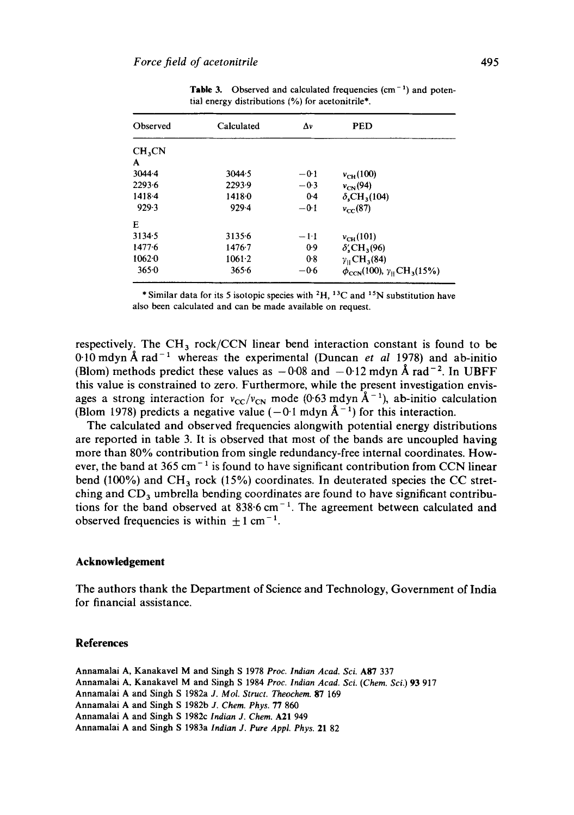| Observed           | Calculated | Δν     | <b>PED</b>                                                   |
|--------------------|------------|--------|--------------------------------------------------------------|
| CH <sub>3</sub> CN |            |        |                                                              |
| A                  |            |        |                                                              |
| $3044 - 4$         | 3044.5     | $-0.1$ | $v_{\text{CH}}(100)$                                         |
| 2293.6             | 2293.9     | $-0.3$ | $v_{CN}(94)$                                                 |
| 1418-4             | $1418 - 0$ | $0-4$  | $\delta$ ,CH <sub>3</sub> (104)                              |
| 929.3              | 929.4      | $-0.1$ | $v_{cr}$ (87)                                                |
| Е                  |            |        |                                                              |
| 3134.5             | 3135.6     | $-1-1$ | $v_{\text{CH}}(101)$                                         |
| 1477.6             | $1476 - 7$ | 0.9    | $\delta$ , CH <sub>3</sub> (96)                              |
| 10620              | $1061-2$   | $0-8$  | $y_{\rm H}$ CH <sub>3</sub> (84)                             |
| 3650               | 365.6      | $-0.6$ | $\phi_{\text{CCN}}(100), \gamma_{\text{H}}\text{CH}_3(15\%)$ |

**Table 3.** Observed and calculated frequencies  $(cm<sup>-1</sup>)$  and potential energy distributions (%) for acetonitrile\*.

\* Similar data for its 5 isotopic species with  ${}^{2}H$ ,  ${}^{13}C$  and  ${}^{15}N$  substitution have also been calculated and can be made available on request.

respectively. The  $CH_3$  rock/CCN linear bend interaction constant is found to be 0.10 mdyn Å rad<sup>-1</sup> whereas the experimental (Duncan *et al* 1978) and ab-initio (Blom) methods predict these values as  $-0.08$  and  $-0.12$  mdyn Å rad<sup>-2</sup>. In UBFF this value is constrained to zero. Furthermore, while the present investigation envisages a strong interaction for  $v_{\text{CC}}/v_{\text{CN}}$  mode (0.63 mdyn  $\AA^{-1}$ ), ab-initio calculation (Blom 1978) predicts a negative value  $(-0.1 \text{ mdyn}~\text{\AA}^{-1})$  for this interaction.

The calculated and observed frequencies alongwith potential energy distributions are reported in table 3. It is observed that most of the bands are uncoupled having more than 80% contribution from single redundancy-free internal coordinates. However, the band at 365 cm<sup> $-1$ </sup> is found to have significant contribution from CCN linear bend (100%) and CH<sub>3</sub> rock (15%) coordinates. In deuterated species the CC stretching and  $CD_3$  umbrella bending coordinates are found to have significant contributions for the band observed at  $838.6 \text{ cm}^{-1}$ . The agreement between calculated and observed frequencies is within  $+1$  cm<sup>-1</sup>.

#### **Acknowledgement**

The authors thank the Department of Science and Technology, Government of India for financial assistance,

#### **References**

Annamalai A, Kanakavel M and Singh S 1978 *Proc. Indian Acad. Sci.* A87 337 Annamalai A, Kanakavel M and Singh S 1984 *Proc. Indian Acad. Sci. (Chem. Sci.)* 93 917 Annamalai A and Singh S 1982a *J. Mol. Struct. Theochem.* 87 169 Annamalai A and Singh S 1982b *J. Chem. Phys.* 77 860 Annamalai A and Singh S 1982c *Indian J. Chem.* A21 949 Annamalai A and Singh S 1983a *Indian J. Pure Appl. Phys.* 21 82